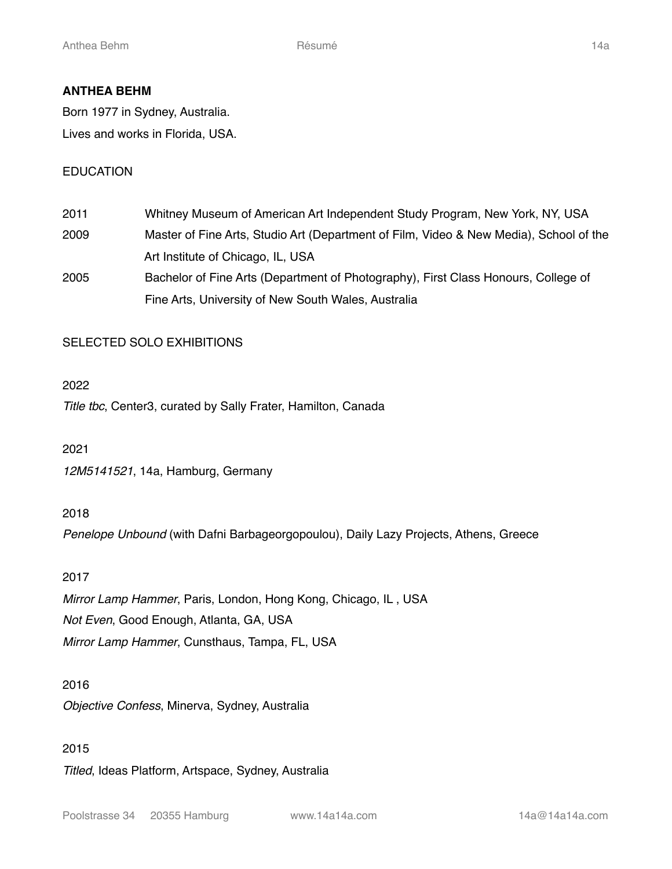## **ANTHEA BEHM**

Born 1977 in Sydney, Australia. Lives and works in Florida, USA.

## EDUCATION

2011 Whitney Museum of American Art Independent Study Program, New York, NY, USA 2009 Master of Fine Arts, Studio Art (Department of Film, Video & New Media), School of the Art Institute of Chicago, IL, USA 2005 Bachelor of Fine Arts (Department of Photography), First Class Honours, College of Fine Arts, University of New South Wales, Australia

## SELECTED SOLO EXHIBITIONS

#### 2022

*Title tbc*, Center3, curated by Sally Frater, Hamilton, Canada

2021

*12M5141521*, 14a, Hamburg, Germany

#### 2018

*Penelope Unbound* (with Dafni Barbageorgopoulou), Daily Lazy Projects, Athens, Greece

#### 2017

*Mirror Lamp Hammer*, Paris, London, Hong Kong, Chicago, IL , USA *Not Even*, Good Enough, Atlanta, GA, USA *Mirror Lamp Hammer*, Cunsthaus, Tampa, FL, USA

#### 2016

*Objective Confess*, Minerva, Sydney, Australia

#### 2015

*Titled*, Ideas Platform, Artspace, Sydney, Australia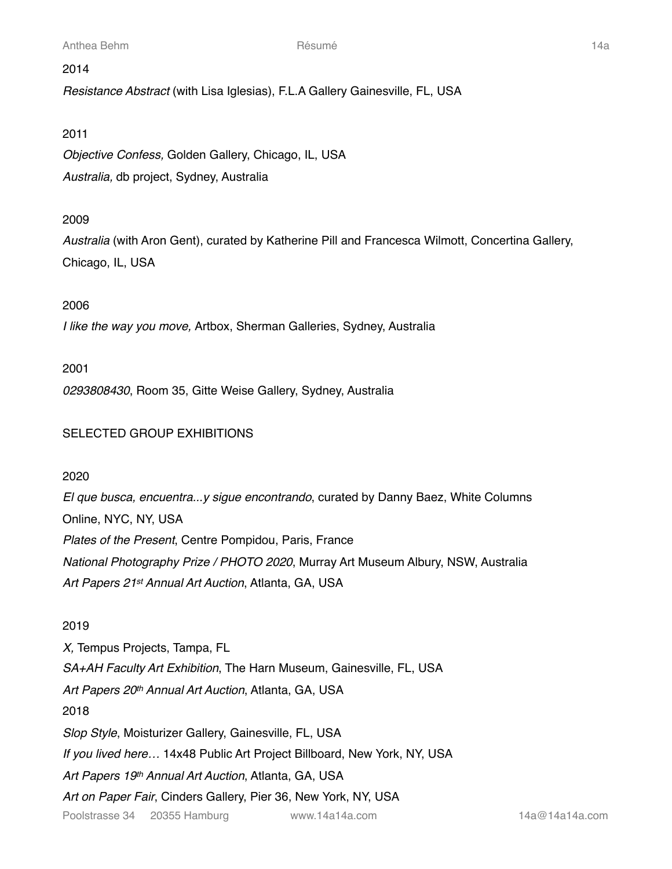#### 2014

*Resistance Abstract* (with Lisa Iglesias), F.L.A Gallery Gainesville, FL, USA

#### 2011

*Objective Confess,* Golden Gallery, Chicago, IL, USA *Australia,* db project, Sydney, Australia

## 2009

*Australia* (with Aron Gent), curated by Katherine Pill and Francesca Wilmott, Concertina Gallery, Chicago, IL, USA

## 2006

*I like the way you move,* Artbox, Sherman Galleries, Sydney, Australia

#### 2001

*0293808430*, Room 35, Gitte Weise Gallery, Sydney, Australia

## SELECTED GROUP EXHIBITIONS

#### 2020

*El que busca, encuentra...y sigue encontrando*, curated by Danny Baez, White Columns Online, NYC, NY, USA *Plates of the Present*, Centre Pompidou, Paris, France *National Photography Prize / PHOTO 2020*, Murray Art Museum Albury, NSW, Australia *Art Papers 21st Annual Art Auction*, Atlanta, GA, USA

#### 2019

*X,* Tempus Projects, Tampa, FL *SA+AH Faculty Art Exhibition*, The Harn Museum, Gainesville, FL, USA *Art Papers 20th Annual Art Auction*, Atlanta, GA, USA 2018 *Slop Style*, Moisturizer Gallery, Gainesville, FL, USA *If you lived here…* 14x48 Public Art Project Billboard, New York, NY, USA *Art Papers 19th Annual Art Auction*, Atlanta, GA, USA *Art on Paper Fair*, Cinders Gallery, Pier 36, New York, NY, USA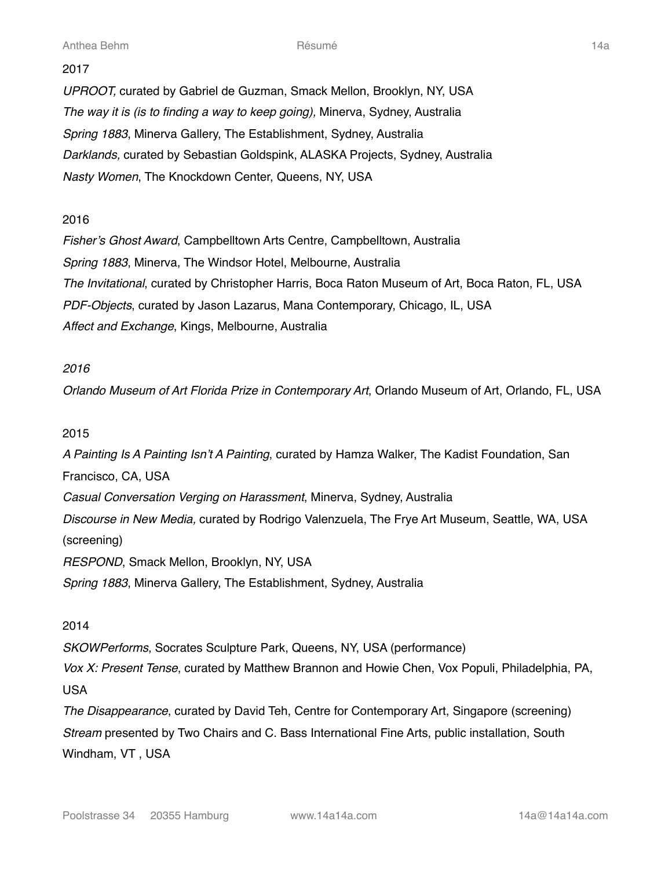#### 2017

*UPROOT,* curated by Gabriel de Guzman, Smack Mellon, Brooklyn, NY, USA *The way it is (is to finding a way to keep going),* Minerva, Sydney, Australia *Spring 1883*, Minerva Gallery, The Establishment, Sydney, Australia *Darklands,* curated by Sebastian Goldspink, ALASKA Projects, Sydney, Australia *Nasty Women*, The Knockdown Center, Queens, NY, USA

## 2016

*Fisher's Ghost Award*, Campbelltown Arts Centre, Campbelltown, Australia *Spring 1883*, Minerva, The Windsor Hotel, Melbourne, Australia *The Invitational*, curated by Christopher Harris, Boca Raton Museum of Art, Boca Raton, FL, USA *PDF-Objects*, curated by Jason Lazarus, Mana Contemporary, Chicago, IL, USA *Affect and Exchange*, Kings, Melbourne, Australia

## *2016*

*Orlando Museum of Art Florida Prize in Contemporary Art*, Orlando Museum of Art, Orlando, FL, USA

## 2015

*A Painting Is A Painting Isn't A Painting*, curated by Hamza Walker, The Kadist Foundation, San Francisco, CA, USA *Casual Conversation Verging on Harassment*, Minerva, Sydney, Australia *Discourse in New Media,* curated by Rodrigo Valenzuela, The Frye Art Museum, Seattle, WA, USA (screening) *RESPOND*, Smack Mellon, Brooklyn, NY, USA *Spring 1883*, Minerva Gallery, The Establishment, Sydney, Australia

## 2014

*SKOWPerforms*, Socrates Sculpture Park, Queens, NY, USA (performance)

*Vox X: Present Tense*, curated by Matthew Brannon and Howie Chen, Vox Populi, Philadelphia, PA, USA

*The Disappearance*, curated by David Teh, Centre for Contemporary Art, Singapore (screening) *Stream* presented by Two Chairs and C. Bass International Fine Arts, public installation, South Windham, VT , USA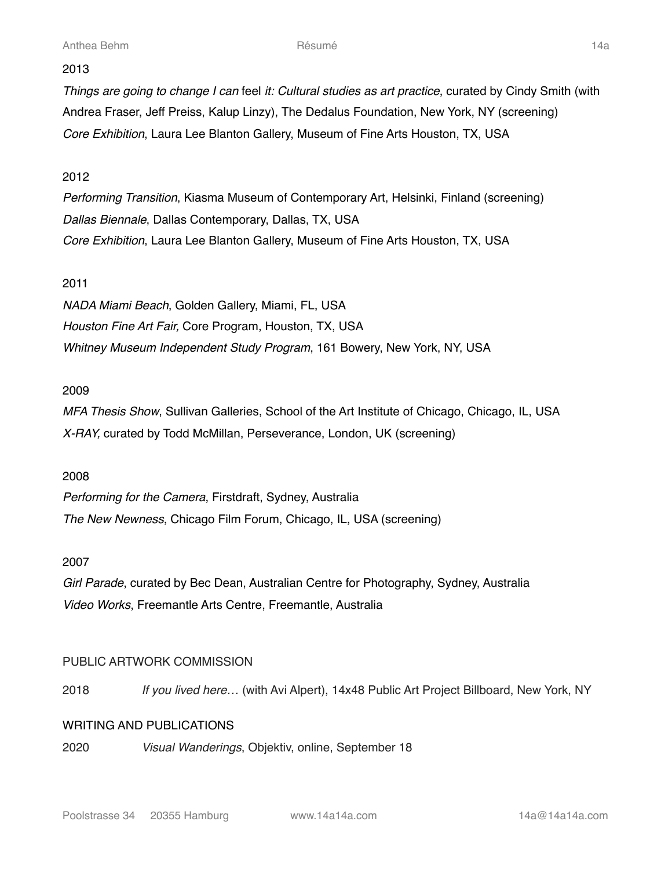Anthea Behm Résumé 14a

## 2013

*Things are going to change I can* feel *it: Cultural studies as art practice*, curated by Cindy Smith (with Andrea Fraser, Jeff Preiss, Kalup Linzy), The Dedalus Foundation, New York, NY (screening) *Core Exhibition*, Laura Lee Blanton Gallery, Museum of Fine Arts Houston, TX, USA

## 2012

*Performing Transition*, Kiasma Museum of Contemporary Art, Helsinki, Finland (screening) *Dallas Biennale*, Dallas Contemporary, Dallas, TX, USA *Core Exhibition*, Laura Lee Blanton Gallery, Museum of Fine Arts Houston, TX, USA

## 2011

*NADA Miami Beach*, Golden Gallery, Miami, FL, USA *Houston Fine Art Fair,* Core Program, Houston, TX, USA *Whitney Museum Independent Study Program*, 161 Bowery, New York, NY, USA

## 2009

*MFA Thesis Show*, Sullivan Galleries, School of the Art Institute of Chicago, Chicago, IL, USA *X-RAY,* curated by Todd McMillan, Perseverance, London, UK (screening)

#### 2008

*Performing for the Camera*, Firstdraft, Sydney, Australia *The New Newness*, Chicago Film Forum, Chicago, IL, USA (screening)

#### 2007

*Girl Parade*, curated by Bec Dean, Australian Centre for Photography, Sydney, Australia *Video Works*, Freemantle Arts Centre, Freemantle, Australia

## PUBLIC ARTWORK COMMISSION

2018  *If you lived here…* (with Avi Alpert), 14x48 Public Art Project Billboard, New York, NY

#### WRITING AND PUBLICATIONS

2020 *Visual Wanderings*, Objektiv, online, September 18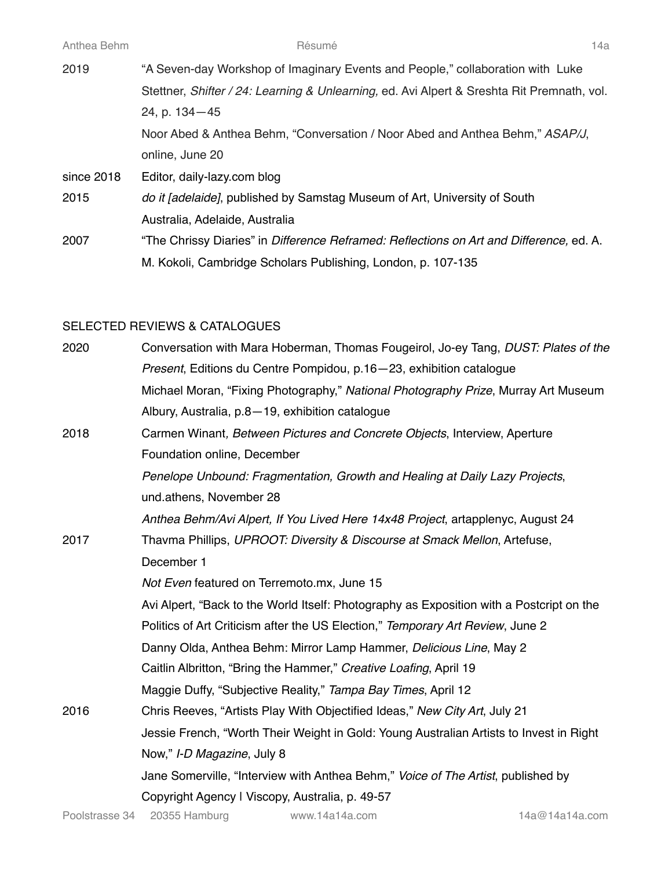| Anthea Behm | Résumé                                                                                     | 14a |
|-------------|--------------------------------------------------------------------------------------------|-----|
| 2019        | "A Seven-day Workshop of Imaginary Events and People," collaboration with Luke             |     |
|             | Stettner, Shifter / 24: Learning & Unlearning, ed. Avi Alpert & Sreshta Rit Premnath, vol. |     |
|             | 24, p. 134-45                                                                              |     |
|             | Noor Abed & Anthea Behm, "Conversation / Noor Abed and Anthea Behm," ASAP/J,               |     |
|             | online, June 20                                                                            |     |
| since 2018  | Editor, daily-lazy.com blog                                                                |     |
| 2015        | do it [adelaide], published by Samstag Museum of Art, University of South                  |     |
|             | Australia, Adelaide, Australia                                                             |     |
| 2007        | "The Chrissy Diaries" in Difference Reframed: Reflections on Art and Difference, ed. A.    |     |
|             | M. Kokoli, Cambridge Scholars Publishing, London, p. 107-135                               |     |
|             |                                                                                            |     |

#### SELECTED REVIEWS & CATALOGUES

| 2020 | Conversation with Mara Hoberman, Thomas Fougeirol, Jo-ey Tang, DUST: Plates of the       |
|------|------------------------------------------------------------------------------------------|
|      | Present, Editions du Centre Pompidou, p.16-23, exhibition catalogue                      |
|      | Michael Moran, "Fixing Photography," National Photography Prize, Murray Art Museum       |
|      | Albury, Australia, p.8-19, exhibition catalogue                                          |
| 2018 | Carmen Winant, Between Pictures and Concrete Objects, Interview, Aperture                |
|      | Foundation online, December                                                              |
|      | Penelope Unbound: Fragmentation, Growth and Healing at Daily Lazy Projects,              |
|      | und.athens, November 28                                                                  |
|      | Anthea Behm/Avi Alpert, If You Lived Here 14x48 Project, artapplenyc, August 24          |
| 2017 | Thavma Phillips, UPROOT: Diversity & Discourse at Smack Mellon, Artefuse,                |
|      | December 1                                                                               |
|      | Not Even featured on Terremoto.mx, June 15                                               |
|      | Avi Alpert, "Back to the World Itself: Photography as Exposition with a Postcript on the |
|      | Politics of Art Criticism after the US Election," Temporary Art Review, June 2           |
|      | Danny Olda, Anthea Behm: Mirror Lamp Hammer, Delicious Line, May 2                       |
|      | Caitlin Albritton, "Bring the Hammer," Creative Loafing, April 19                        |
|      | Maggie Duffy, "Subjective Reality," Tampa Bay Times, April 12                            |
| 2016 | Chris Reeves, "Artists Play With Objectified Ideas," New City Art, July 21               |
|      | Jessie French, "Worth Their Weight in Gold: Young Australian Artists to Invest in Right  |
|      | Now," I-D Magazine, July 8                                                               |
|      | Jane Somerville, "Interview with Anthea Behm," Voice of The Artist, published by         |
|      | Copyright Agency I Viscopy, Australia, p. 49-57                                          |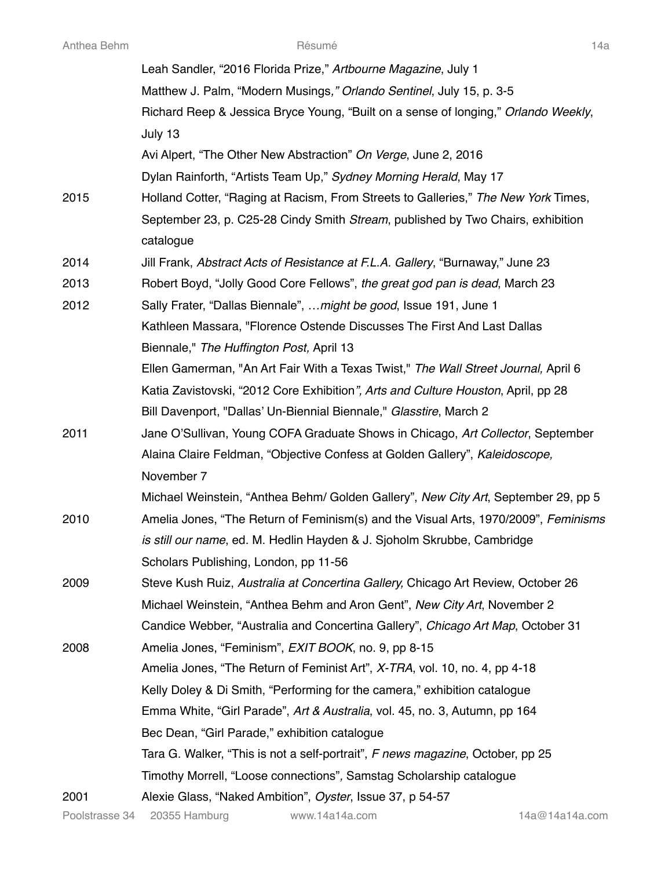|      | Leah Sandler, "2016 Florida Prize," Artbourne Magazine, July 1                               |
|------|----------------------------------------------------------------------------------------------|
|      | Matthew J. Palm, "Modern Musings," Orlando Sentinel, July 15, p. 3-5                         |
|      | Richard Reep & Jessica Bryce Young, "Built on a sense of longing," Orlando Weekly,           |
|      | July 13                                                                                      |
|      | Avi Alpert, "The Other New Abstraction" On Verge, June 2, 2016                               |
|      | Dylan Rainforth, "Artists Team Up," Sydney Morning Herald, May 17                            |
| 2015 | Holland Cotter, "Raging at Racism, From Streets to Galleries," The New York Times,           |
|      | September 23, p. C25-28 Cindy Smith Stream, published by Two Chairs, exhibition<br>catalogue |
| 2014 | Jill Frank, Abstract Acts of Resistance at F.L.A. Gallery, "Burnaway," June 23               |
| 2013 | Robert Boyd, "Jolly Good Core Fellows", the great god pan is dead, March 23                  |
| 2012 | Sally Frater, "Dallas Biennale",  might be good, Issue 191, June 1                           |
|      | Kathleen Massara, "Florence Ostende Discusses The First And Last Dallas                      |
|      | Biennale," The Huffington Post, April 13                                                     |
|      | Ellen Gamerman, "An Art Fair With a Texas Twist," The Wall Street Journal, April 6           |
|      | Katia Zavistovski, "2012 Core Exhibition", Arts and Culture Houston, April, pp 28            |
|      | Bill Davenport, "Dallas' Un-Biennial Biennale," Glasstire, March 2                           |
| 2011 | Jane O'Sullivan, Young COFA Graduate Shows in Chicago, Art Collector, September              |
|      | Alaina Claire Feldman, "Objective Confess at Golden Gallery", Kaleidoscope,                  |
|      | November 7                                                                                   |
|      | Michael Weinstein, "Anthea Behm/ Golden Gallery", New City Art, September 29, pp 5           |
| 2010 | Amelia Jones, "The Return of Feminism(s) and the Visual Arts, 1970/2009", Feminisms          |
|      | is still our name, ed. M. Hedlin Hayden & J. Sjoholm Skrubbe, Cambridge                      |
|      | Scholars Publishing, London, pp 11-56                                                        |
| 2009 | Steve Kush Ruiz, Australia at Concertina Gallery, Chicago Art Review, October 26             |
|      | Michael Weinstein, "Anthea Behm and Aron Gent", New City Art, November 2                     |
|      | Candice Webber, "Australia and Concertina Gallery", Chicago Art Map, October 31              |
| 2008 | Amelia Jones, "Feminism", EXIT BOOK, no. 9, pp 8-15                                          |
|      | Amelia Jones, "The Return of Feminist Art", X-TRA, vol. 10, no. 4, pp 4-18                   |
|      | Kelly Doley & Di Smith, "Performing for the camera," exhibition catalogue                    |
|      | Emma White, "Girl Parade", Art & Australia, vol. 45, no. 3, Autumn, pp 164                   |
|      | Bec Dean, "Girl Parade," exhibition catalogue                                                |
|      | Tara G. Walker, "This is not a self-portrait", F news magazine, October, pp 25               |
|      | Timothy Morrell, "Loose connections", Samstag Scholarship catalogue                          |
| 2001 | Alexie Glass, "Naked Ambition", Oyster, Issue 37, p 54-57                                    |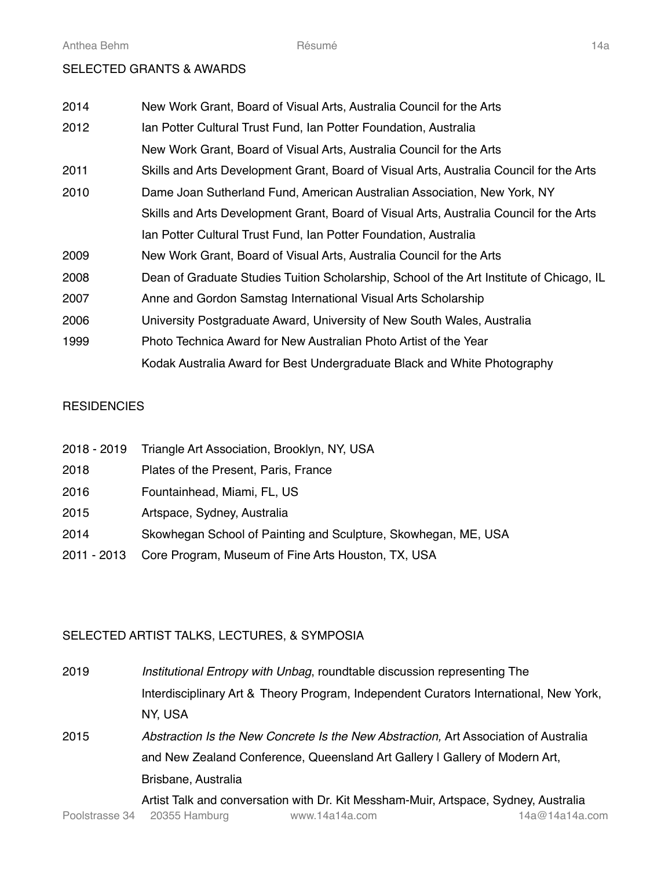## SELECTED GRANTS & AWARDS

| 2014 | New Work Grant, Board of Visual Arts, Australia Council for the Arts                     |
|------|------------------------------------------------------------------------------------------|
| 2012 | Ian Potter Cultural Trust Fund, Ian Potter Foundation, Australia                         |
|      | New Work Grant, Board of Visual Arts, Australia Council for the Arts                     |
| 2011 | Skills and Arts Development Grant, Board of Visual Arts, Australia Council for the Arts  |
| 2010 | Dame Joan Sutherland Fund, American Australian Association, New York, NY                 |
|      | Skills and Arts Development Grant, Board of Visual Arts, Australia Council for the Arts  |
|      | Ian Potter Cultural Trust Fund, Ian Potter Foundation, Australia                         |
| 2009 | New Work Grant, Board of Visual Arts, Australia Council for the Arts                     |
| 2008 | Dean of Graduate Studies Tuition Scholarship, School of the Art Institute of Chicago, IL |
| 2007 | Anne and Gordon Samstag International Visual Arts Scholarship                            |
| 2006 | University Postgraduate Award, University of New South Wales, Australia                  |
| 1999 | Photo Technica Award for New Australian Photo Artist of the Year                         |
|      | Kodak Australia Award for Best Undergraduate Black and White Photography                 |

## **RESIDENCIES**

| 2018 - 2019 | Triangle Art Association, Brooklyn, NY, USA                    |
|-------------|----------------------------------------------------------------|
| 2018        | Plates of the Present, Paris, France                           |
| 2016        | Fountainhead, Miami, FL, US                                    |
| 2015        | Artspace, Sydney, Australia                                    |
| 2014        | Skowhegan School of Painting and Sculpture, Skowhegan, ME, USA |
| 2011 - 2013 | Core Program, Museum of Fine Arts Houston, TX, USA             |

# SELECTED ARTIST TALKS, LECTURES, & SYMPOSIA

| 2019 | Institutional Entropy with Unbag, roundtable discussion representing The              |
|------|---------------------------------------------------------------------------------------|
|      | Interdisciplinary Art & Theory Program, Independent Curators International, New York, |
|      | NY, USA                                                                               |
| 2015 | Abstraction Is the New Concrete Is the New Abstraction, Art Association of Australia  |
|      | and New Zealand Conference, Queensland Art Gallery I Gallery of Modern Art,           |
|      | Brisbane, Australia                                                                   |
|      | Artist Talk and conversation with Dr. Kit Messham-Muir, Artspace, Sydney, Australia   |